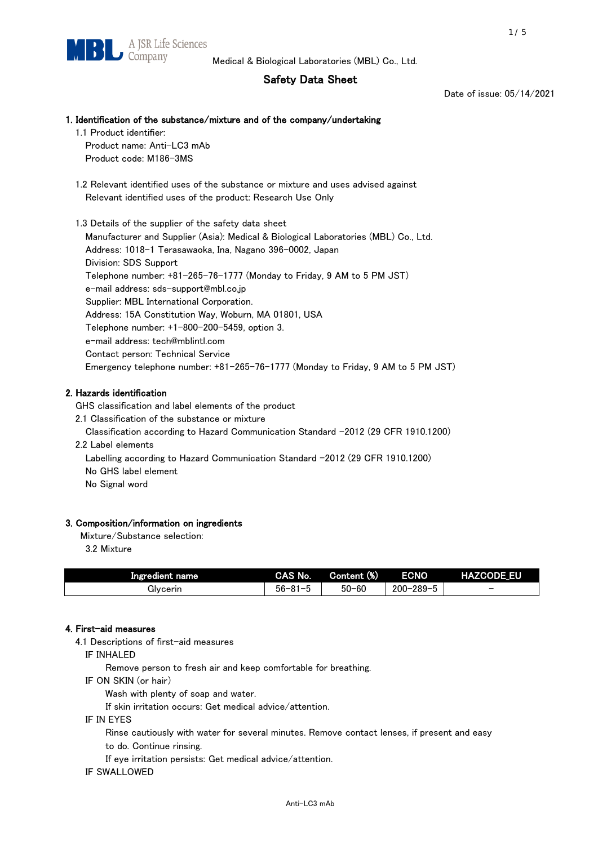# Safety Data Sheet

Date of issue: 05/14/2021

## 1. Identification of the substance/mixture and of the company/undertaking

1.1 Product identifier:

Product name: Anti-LC3 mAb Product code: M186-3MS

 1.2 Relevant identified uses of the substance or mixture and uses advised against Relevant identified uses of the product: Research Use Only

 1.3 Details of the supplier of the safety data sheet Manufacturer and Supplier (Asia): Medical & Biological Laboratories (MBL) Co., Ltd. Address: 1018-1 Terasawaoka, Ina, Nagano 396-0002, Japan Division: SDS Support Telephone number: +81-265-76-1777 (Monday to Friday, 9 AM to 5 PM JST) e-mail address: sds-support@mbl.co.jp Supplier: MBL International Corporation. Address: 15A Constitution Way, Woburn, MA 01801, USA Telephone number: +1-800-200-5459, option 3. e-mail address: tech@mblintl.com Contact person: Technical Service Emergency telephone number: +81-265-76-1777 (Monday to Friday, 9 AM to 5 PM JST)

# 2. Hazards identification

GHS classification and label elements of the product

2.1 Classification of the substance or mixture

Classification according to Hazard Communication Standard -2012 (29 CFR 1910.1200)

2.2 Label elements

Labelling according to Hazard Communication Standard -2012 (29 CFR 1910.1200) No GHS label element

No Signal word

#### 3. Composition/information on ingredients

Mixture/Substance selection:

3.2 Mixture

| Ingredient name | CAS No.          | Content (%) | <b>ECNO</b>                                         | <b>HAZCODE EU</b>        |
|-----------------|------------------|-------------|-----------------------------------------------------|--------------------------|
| Givcerin        | $56 - 81 -$<br>. | $50 - 60$   | $-289 - 5$<br>$\overline{\phantom{0}}$<br>$200 - 2$ | $\overline{\phantom{0}}$ |

#### 4. First-aid measures

4.1 Descriptions of first-aid measures

IF INHALED

Remove person to fresh air and keep comfortable for breathing.

IF ON SKIN (or hair)

Wash with plenty of soap and water.

If skin irritation occurs: Get medical advice/attention.

IF IN EYES

Rinse cautiously with water for several minutes. Remove contact lenses, if present and easy

to do. Continue rinsing.

If eye irritation persists: Get medical advice/attention.

IF SWALLOWED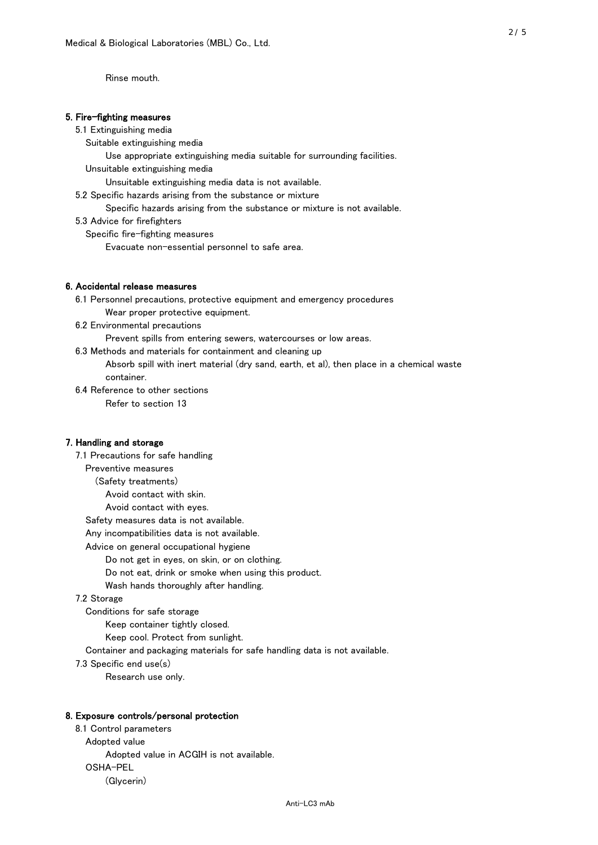Rinse mouth.

#### 5. Fire-fighting measures

#### 5.1 Extinguishing media

Suitable extinguishing media

Use appropriate extinguishing media suitable for surrounding facilities.

Unsuitable extinguishing media

Unsuitable extinguishing media data is not available.

5.2 Specific hazards arising from the substance or mixture

Specific hazards arising from the substance or mixture is not available.

5.3 Advice for firefighters

Specific fire-fighting measures

Evacuate non-essential personnel to safe area.

#### 6. Accidental release measures

 6.1 Personnel precautions, protective equipment and emergency procedures Wear proper protective equipment.

6.2 Environmental precautions

Prevent spills from entering sewers, watercourses or low areas.

6.3 Methods and materials for containment and cleaning up

 Absorb spill with inert material (dry sand, earth, et al), then place in a chemical waste container.

6.4 Reference to other sections

Refer to section 13

## 7. Handling and storage

 7.1 Precautions for safe handling Preventive measures (Safety treatments) Avoid contact with skin. Avoid contact with eyes. Safety measures data is not available. Any incompatibilities data is not available. Advice on general occupational hygiene Do not get in eyes, on skin, or on clothing. Do not eat, drink or smoke when using this product. Wash hands thoroughly after handling. 7.2 Storage Conditions for safe storage Keep container tightly closed.

Keep cool. Protect from sunlight.

Container and packaging materials for safe handling data is not available.

7.3 Specific end use(s)

Research use only.

#### 8. Exposure controls/personal protection

 8.1 Control parameters Adopted value Adopted value in ACGIH is not available. OSHA-PEL (Glycerin)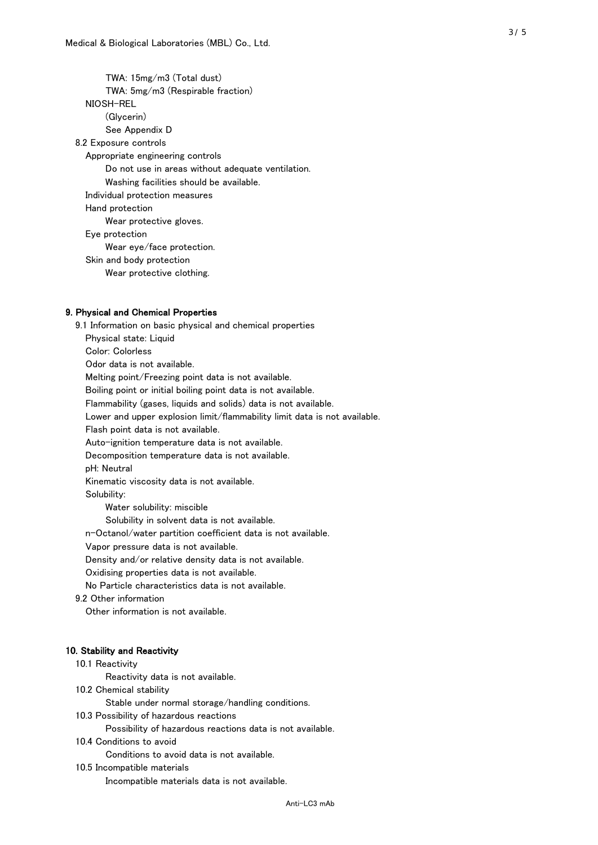TWA: 15mg/m3 (Total dust) TWA: 5mg/m3 (Respirable fraction) NIOSH-REL (Glycerin) See Appendix D 8.2 Exposure controls Appropriate engineering controls Do not use in areas without adequate ventilation. Washing facilities should be available. Individual protection measures Hand protection Wear protective gloves. Eye protection Wear eye/face protection. Skin and body protection Wear protective clothing.

#### 9. Physical and Chemical Properties

 9.1 Information on basic physical and chemical properties Physical state: Liquid Color: Colorless Odor data is not available. Melting point/Freezing point data is not available. Boiling point or initial boiling point data is not available. Flammability (gases, liquids and solids) data is not available. Lower and upper explosion limit/flammability limit data is not available. Flash point data is not available. Auto-ignition temperature data is not available. Decomposition temperature data is not available. pH: Neutral Kinematic viscosity data is not available. Solubility: Water solubility: miscible Solubility in solvent data is not available. n-Octanol/water partition coefficient data is not available. Vapor pressure data is not available. Density and/or relative density data is not available. Oxidising properties data is not available. No Particle characteristics data is not available. 9.2 Other information Other information is not available. 10. Stability and Reactivity 10.1 Reactivity Reactivity data is not available. 10.2 Chemical stability Stable under normal storage/handling conditions. 10.3 Possibility of hazardous reactions

Possibility of hazardous reactions data is not available.

## 10.4 Conditions to avoid

Conditions to avoid data is not available.

#### 10.5 Incompatible materials

Incompatible materials data is not available.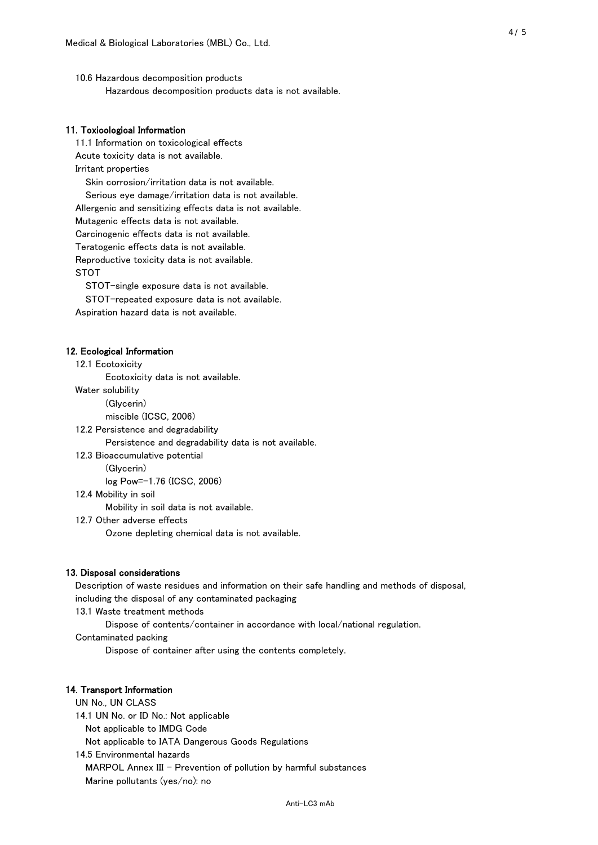10.6 Hazardous decomposition products Hazardous decomposition products data is not available.

## 11. Toxicological Information

 11.1 Information on toxicological effects Acute toxicity data is not available. Irritant properties Skin corrosion/irritation data is not available. Serious eye damage/irritation data is not available. Allergenic and sensitizing effects data is not available. Mutagenic effects data is not available. Carcinogenic effects data is not available. Teratogenic effects data is not available. Reproductive toxicity data is not available. STOT

STOT-single exposure data is not available.

STOT-repeated exposure data is not available.

Aspiration hazard data is not available.

#### 12. Ecological Information

12.1 Ecotoxicity

Ecotoxicity data is not available.

Water solubility

(Glycerin)

miscible (ICSC, 2006)

12.2 Persistence and degradability

Persistence and degradability data is not available.

12.3 Bioaccumulative potential

(Glycerin)

log Pow=-1.76 (ICSC, 2006)

12.4 Mobility in soil

Mobility in soil data is not available.

12.7 Other adverse effects

Ozone depleting chemical data is not available.

#### 13. Disposal considerations

 Description of waste residues and information on their safe handling and methods of disposal, including the disposal of any contaminated packaging

13.1 Waste treatment methods

Dispose of contents/container in accordance with local/national regulation.

Contaminated packing

Dispose of container after using the contents completely.

#### 14. Transport Information

 UN No., UN CLASS 14.1 UN No. or ID No.: Not applicable Not applicable to IMDG Code Not applicable to IATA Dangerous Goods Regulations

 14.5 Environmental hazards MARPOL Annex III - Prevention of pollution by harmful substances Marine pollutants (yes/no): no